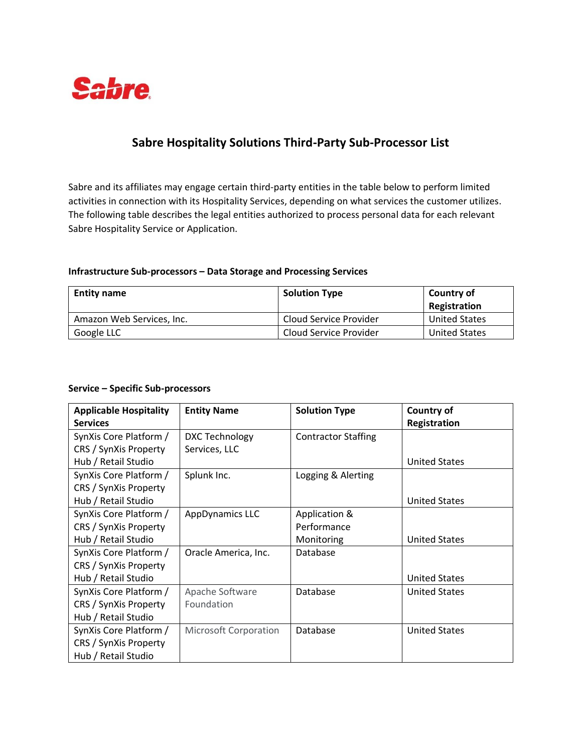

## **Sabre Hospitality Solutions Third-Party Sub-Processor List**

Sabre and its affiliates may engage certain third-party entities in the table below to perform limited activities in connection with its Hospitality Services, depending on what services the customer utilizes. The following table describes the legal entities authorized to process personal data for each relevant Sabre Hospitality Service or Application.

## **Infrastructure Sub-processors – Data Storage and Processing Services**

| <b>Entity name</b>        | <b>Solution Type</b>   | <b>Country of</b><br><b>Registration</b> |
|---------------------------|------------------------|------------------------------------------|
| Amazon Web Services, Inc. | Cloud Service Provider | <b>United States</b>                     |
| Google LLC                | Cloud Service Provider | <b>United States</b>                     |

## **Service – Specific Sub-processors**

| <b>Applicable Hospitality</b><br><b>Services</b> | <b>Entity Name</b>           | <b>Solution Type</b>       | <b>Country of</b><br><b>Registration</b> |
|--------------------------------------------------|------------------------------|----------------------------|------------------------------------------|
| SynXis Core Platform /                           | DXC Technology               | <b>Contractor Staffing</b> |                                          |
| CRS / SynXis Property                            | Services, LLC                |                            |                                          |
| Hub / Retail Studio                              |                              |                            | <b>United States</b>                     |
| SynXis Core Platform /                           | Splunk Inc.                  | Logging & Alerting         |                                          |
| CRS / SynXis Property                            |                              |                            |                                          |
| Hub / Retail Studio                              |                              |                            | <b>United States</b>                     |
| SynXis Core Platform /                           | <b>AppDynamics LLC</b>       | Application &              |                                          |
| CRS / SynXis Property                            |                              | Performance                |                                          |
| Hub / Retail Studio                              |                              | Monitoring                 | <b>United States</b>                     |
| SynXis Core Platform /                           | Oracle America, Inc.         | Database                   |                                          |
| CRS / SynXis Property                            |                              |                            |                                          |
| Hub / Retail Studio                              |                              |                            | <b>United States</b>                     |
| SynXis Core Platform /                           | Apache Software              | Database                   | <b>United States</b>                     |
| CRS / SynXis Property                            | Foundation                   |                            |                                          |
| Hub / Retail Studio                              |                              |                            |                                          |
| SynXis Core Platform /                           | <b>Microsoft Corporation</b> | Database                   | <b>United States</b>                     |
| CRS / SynXis Property                            |                              |                            |                                          |
| Hub / Retail Studio                              |                              |                            |                                          |